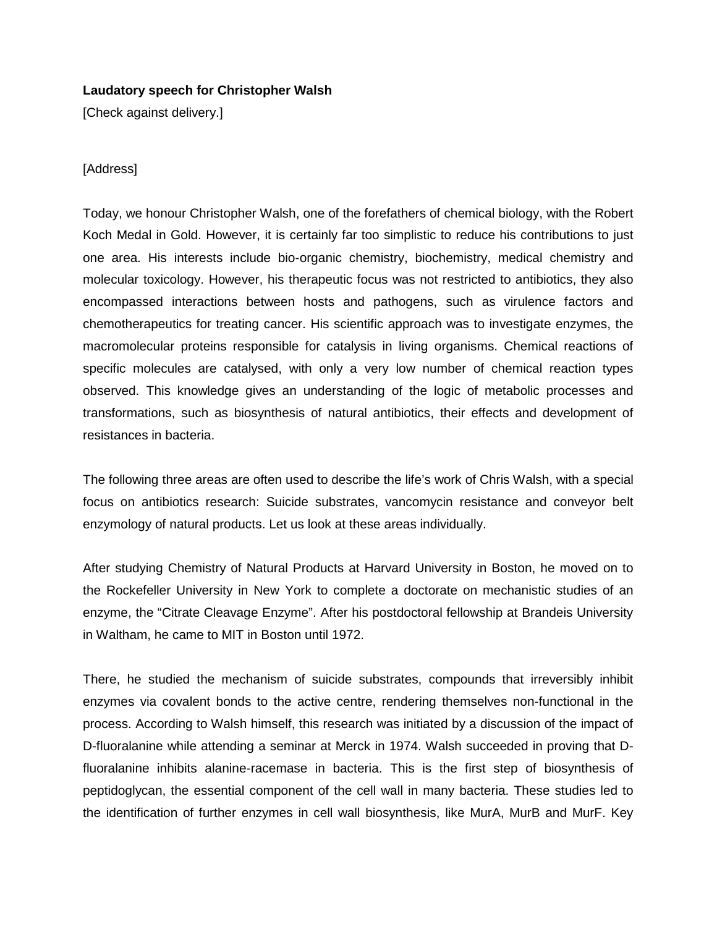## **Laudatory speech for Christopher Walsh**

[Check against delivery.]

## [Address]

Today, we honour Christopher Walsh, one of the forefathers of chemical biology, with the Robert Koch Medal in Gold. However, it is certainly far too simplistic to reduce his contributions to just one area. His interests include bio-organic chemistry, biochemistry, medical chemistry and molecular toxicology. However, his therapeutic focus was not restricted to antibiotics, they also encompassed interactions between hosts and pathogens, such as virulence factors and chemotherapeutics for treating cancer. His scientific approach was to investigate enzymes, the macromolecular proteins responsible for catalysis in living organisms. Chemical reactions of specific molecules are catalysed, with only a very low number of chemical reaction types observed. This knowledge gives an understanding of the logic of metabolic processes and transformations, such as biosynthesis of natural antibiotics, their effects and development of resistances in bacteria.

The following three areas are often used to describe the life's work of Chris Walsh, with a special focus on antibiotics research: Suicide substrates, vancomycin resistance and conveyor belt enzymology of natural products. Let us look at these areas individually.

After studying Chemistry of Natural Products at Harvard University in Boston, he moved on to the Rockefeller University in New York to complete a doctorate on mechanistic studies of an enzyme, the "Citrate Cleavage Enzyme". After his postdoctoral fellowship at Brandeis University in Waltham, he came to MIT in Boston until 1972.

There, he studied the mechanism of suicide substrates, compounds that irreversibly inhibit enzymes via covalent bonds to the active centre, rendering themselves non-functional in the process. According to Walsh himself, this research was initiated by a discussion of the impact of D-fluoralanine while attending a seminar at Merck in 1974. Walsh succeeded in proving that Dfluoralanine inhibits alanine-racemase in bacteria. This is the first step of biosynthesis of peptidoglycan, the essential component of the cell wall in many bacteria. These studies led to the identification of further enzymes in cell wall biosynthesis, like MurA, MurB and MurF. Key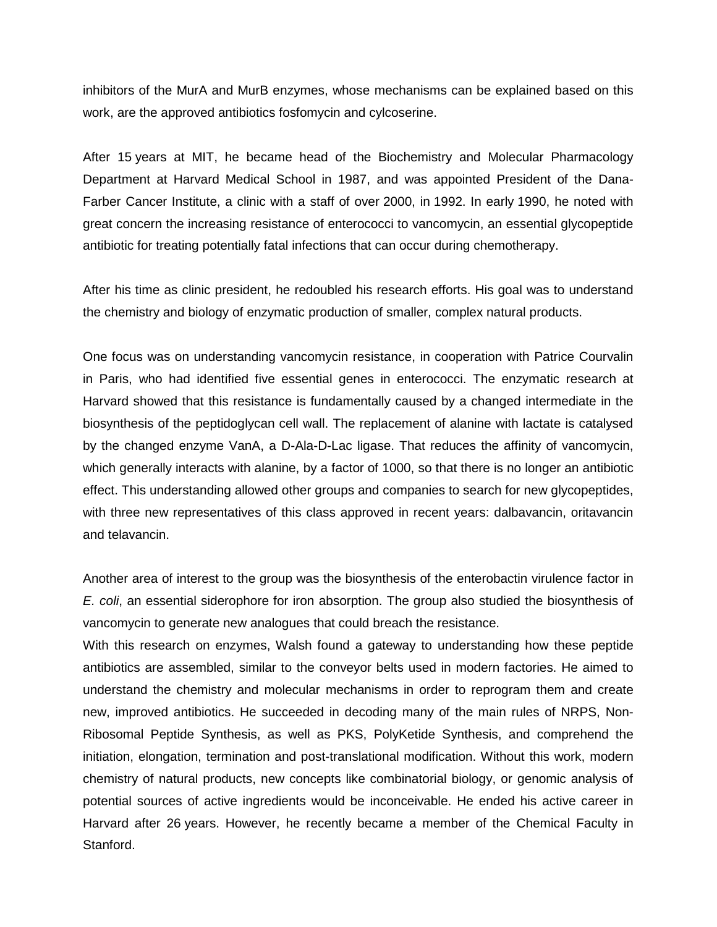inhibitors of the MurA and MurB enzymes, whose mechanisms can be explained based on this work, are the approved antibiotics fosfomycin and cylcoserine.

After 15 years at MIT, he became head of the Biochemistry and Molecular Pharmacology Department at Harvard Medical School in 1987, and was appointed President of the Dana-Farber Cancer Institute, a clinic with a staff of over 2000, in 1992. In early 1990, he noted with great concern the increasing resistance of enterococci to vancomycin, an essential glycopeptide antibiotic for treating potentially fatal infections that can occur during chemotherapy.

After his time as clinic president, he redoubled his research efforts. His goal was to understand the chemistry and biology of enzymatic production of smaller, complex natural products.

One focus was on understanding vancomycin resistance, in cooperation with Patrice Courvalin in Paris, who had identified five essential genes in enterococci. The enzymatic research at Harvard showed that this resistance is fundamentally caused by a changed intermediate in the biosynthesis of the peptidoglycan cell wall. The replacement of alanine with lactate is catalysed by the changed enzyme VanA, a D-Ala-D-Lac ligase. That reduces the affinity of vancomycin, which generally interacts with alanine, by a factor of 1000, so that there is no longer an antibiotic effect. This understanding allowed other groups and companies to search for new glycopeptides, with three new representatives of this class approved in recent years: dalbavancin, oritavancin and telavancin.

Another area of interest to the group was the biosynthesis of the enterobactin virulence factor in *E. coli*, an essential siderophore for iron absorption. The group also studied the biosynthesis of vancomycin to generate new analogues that could breach the resistance.

With this research on enzymes, Walsh found a gateway to understanding how these peptide antibiotics are assembled, similar to the conveyor belts used in modern factories. He aimed to understand the chemistry and molecular mechanisms in order to reprogram them and create new, improved antibiotics. He succeeded in decoding many of the main rules of NRPS, Non-Ribosomal Peptide Synthesis, as well as PKS, PolyKetide Synthesis, and comprehend the initiation, elongation, termination and post-translational modification. Without this work, modern chemistry of natural products, new concepts like combinatorial biology, or genomic analysis of potential sources of active ingredients would be inconceivable. He ended his active career in Harvard after 26 years. However, he recently became a member of the Chemical Faculty in Stanford.